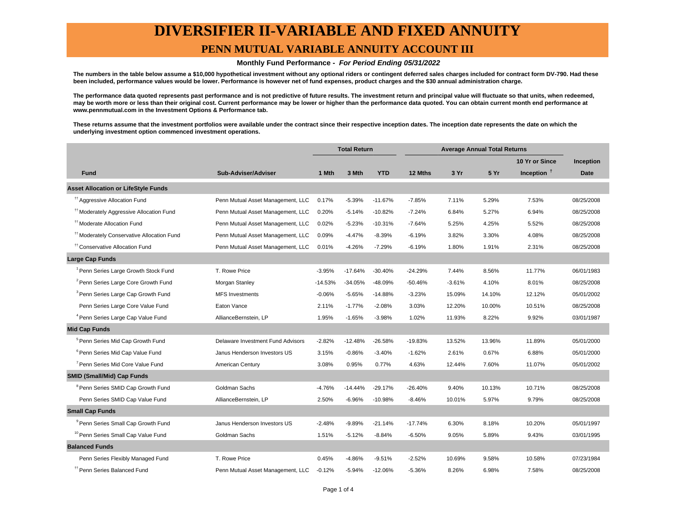# **DIVERSIFIER II-VARIABLE AND FIXED ANNUITY**

### **PENN MUTUAL VARIABLE ANNUITY ACCOUNT III**

#### **Monthly Fund Performance - For Period Ending 05/31/2022**

**The numbers in the table below assume a \$10,000 hypothetical investment without any optional riders or contingent deferred sales charges included for contract form DV-790. Had these been included, performance values would be lower. Performance is however net of fund expenses, product charges and the \$30 annual administration charge.**

**The performance data quoted represents past performance and is not predictive of future results. The investment return and principal value will fluctuate so that units, when redeemed, may be worth more or less than their original cost. Current performance may be lower or higher than the performance data quoted. You can obtain current month end performance at www.pennmutual.com in the Investment Options & Performance tab.**

**These returns assume that the investment portfolios were available under the contract since their respective inception dates. The inception date represents the date on which the underlying investment option commenced investment operations.**

|                                                       |                                   | <b>Total Return</b> |           | <b>Average Annual Total Returns</b> |           |          |        |                |             |
|-------------------------------------------------------|-----------------------------------|---------------------|-----------|-------------------------------------|-----------|----------|--------|----------------|-------------|
|                                                       |                                   |                     |           |                                     |           |          |        | 10 Yr or Since | Inception   |
| <b>Fund</b>                                           | Sub-Adviser/Adviser               | 1 Mth               | 3 Mth     | <b>YTD</b>                          | 12 Mths   | 3 Yr     | 5 Yr   | Inception $†$  | <b>Date</b> |
| <b>Asset Allocation or LifeStyle Funds</b>            |                                   |                     |           |                                     |           |          |        |                |             |
| <sup>#†</sup> Aggressive Allocation Fund              | Penn Mutual Asset Management, LLC | 0.17%               | $-5.39%$  | $-11.67%$                           | $-7.85%$  | 7.11%    | 5.29%  | 7.53%          | 08/25/2008  |
| <sup>#†</sup> Moderately Aggressive Allocation Fund   | Penn Mutual Asset Management, LLC | 0.20%               | $-5.14%$  | $-10.82%$                           | $-7.24%$  | 6.84%    | 5.27%  | 6.94%          | 08/25/2008  |
| <sup>11</sup> Moderate Allocation Fund                | Penn Mutual Asset Management, LLC | 0.02%               | $-5.23%$  | $-10.31%$                           | $-7.64%$  | 5.25%    | 4.25%  | 5.52%          | 08/25/2008  |
| <sup>11</sup> Moderately Conservative Allocation Fund | Penn Mutual Asset Management, LLC | 0.09%               | $-4.47%$  | $-8.39%$                            | $-6.19%$  | 3.82%    | 3.30%  | 4.08%          | 08/25/2008  |
| <sup>††</sup> Conservative Allocation Fund            | Penn Mutual Asset Management, LLC | 0.01%               | $-4.26%$  | $-7.29%$                            | $-6.19%$  | 1.80%    | 1.91%  | 2.31%          | 08/25/2008  |
| <b>Large Cap Funds</b>                                |                                   |                     |           |                                     |           |          |        |                |             |
| <sup>1</sup> Penn Series Large Growth Stock Fund      | T. Rowe Price                     | $-3.95%$            | $-17.64%$ | $-30.40%$                           | $-24.29%$ | 7.44%    | 8.56%  | 11.77%         | 06/01/1983  |
| <sup>2</sup> Penn Series Large Core Growth Fund       | Morgan Stanley                    | $-14.53%$           | $-34.05%$ | $-48.09%$                           | $-50.46%$ | $-3.61%$ | 4.10%  | 8.01%          | 08/25/2008  |
| <sup>3</sup> Penn Series Large Cap Growth Fund        | <b>MFS Investments</b>            | $-0.06%$            | $-5.65%$  | $-14.88%$                           | $-3.23%$  | 15.09%   | 14.10% | 12.12%         | 05/01/2002  |
| Penn Series Large Core Value Fund                     | Eaton Vance                       | 2.11%               | $-1.77%$  | $-2.08%$                            | 3.03%     | 12.20%   | 10.00% | 10.51%         | 08/25/2008  |
| <sup>4</sup> Penn Series Large Cap Value Fund         | AllianceBernstein, LP             | 1.95%               | $-1.65%$  | $-3.98%$                            | 1.02%     | 11.93%   | 8.22%  | 9.92%          | 03/01/1987  |
| <b>Mid Cap Funds</b>                                  |                                   |                     |           |                                     |           |          |        |                |             |
| <sup>5</sup> Penn Series Mid Cap Growth Fund          | Delaware Investment Fund Advisors | $-2.82%$            | $-12.48%$ | $-26.58%$                           | $-19.83%$ | 13.52%   | 13.96% | 11.89%         | 05/01/2000  |
| <sup>6</sup> Penn Series Mid Cap Value Fund           | Janus Henderson Investors US      | 3.15%               | $-0.86%$  | $-3.40%$                            | $-1.62%$  | 2.61%    | 0.67%  | 6.88%          | 05/01/2000  |
| Penn Series Mid Core Value Fund                       | American Century                  | 3.08%               | 0.95%     | 0.77%                               | 4.63%     | 12.44%   | 7.60%  | 11.07%         | 05/01/2002  |
| <b>SMID (Small/Mid) Cap Funds</b>                     |                                   |                     |           |                                     |           |          |        |                |             |
| <sup>8</sup> Penn Series SMID Cap Growth Fund         | Goldman Sachs                     | $-4.76%$            | $-14.44%$ | $-29.17%$                           | $-26.40%$ | 9.40%    | 10.13% | 10.71%         | 08/25/2008  |
| Penn Series SMID Cap Value Fund                       | AllianceBernstein, LP             | 2.50%               | $-6.96%$  | $-10.98%$                           | $-8.46%$  | 10.01%   | 5.97%  | 9.79%          | 08/25/2008  |
| <b>Small Cap Funds</b>                                |                                   |                     |           |                                     |           |          |        |                |             |
| <sup>9</sup> Penn Series Small Cap Growth Fund        | Janus Henderson Investors US      | $-2.48%$            | $-9.89%$  | $-21.14%$                           | $-17.74%$ | 6.30%    | 8.18%  | 10.20%         | 05/01/1997  |
| <sup>10</sup> Penn Series Small Cap Value Fund        | Goldman Sachs                     | 1.51%               | $-5.12%$  | $-8.84%$                            | $-6.50%$  | 9.05%    | 5.89%  | 9.43%          | 03/01/1995  |
| <b>Balanced Funds</b>                                 |                                   |                     |           |                                     |           |          |        |                |             |
| Penn Series Flexibly Managed Fund                     | T. Rowe Price                     | 0.45%               | $-4.86%$  | $-9.51%$                            | $-2.52%$  | 10.69%   | 9.58%  | 10.58%         | 07/23/1984  |
| <sup>TT</sup> Penn Series Balanced Fund               | Penn Mutual Asset Management, LLC | $-0.12%$            | $-5.94%$  | $-12.06%$                           | $-5.36%$  | 8.26%    | 6.98%  | 7.58%          | 08/25/2008  |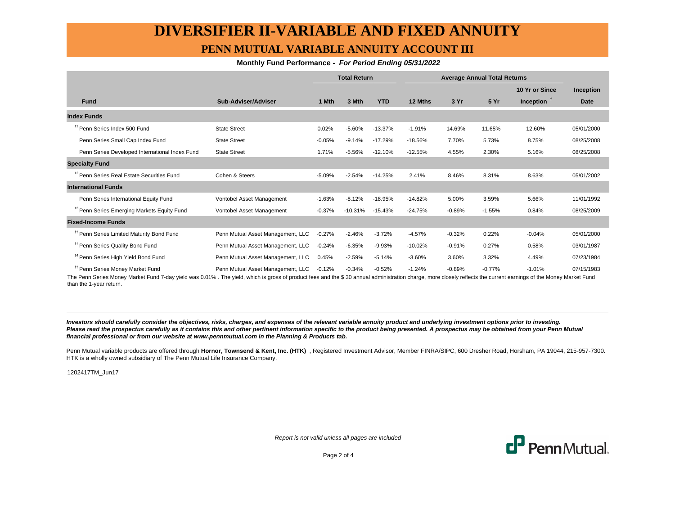# **DIVERSIFIER II-VARIABLE AND FIXED ANNUITY PENN MUTUAL VARIABLE ANNUITY ACCOUNT III**

#### **Monthly Fund Performance - For Period Ending 05/31/2022**

|                                                        |                                   | <b>Total Return</b> |           | <b>Average Annual Total Returns</b> |           |          |          |                |             |
|--------------------------------------------------------|-----------------------------------|---------------------|-----------|-------------------------------------|-----------|----------|----------|----------------|-------------|
|                                                        |                                   |                     |           |                                     |           |          |          | 10 Yr or Since | Inception   |
| <b>Fund</b>                                            | Sub-Adviser/Adviser               | 1 Mth               | 3 Mth     | <b>YTD</b>                          | 12 Mths   | 3 Yr     | 5 Yr     | Inception $†$  | <b>Date</b> |
| <b>Index Funds</b>                                     |                                   |                     |           |                                     |           |          |          |                |             |
| <sup>11</sup> Penn Series Index 500 Fund               | <b>State Street</b>               | 0.02%               | $-5.60%$  | $-13.37%$                           | $-1.91%$  | 14.69%   | 11.65%   | 12.60%         | 05/01/2000  |
| Penn Series Small Cap Index Fund                       | <b>State Street</b>               | $-0.05%$            | $-9.14%$  | $-17.29%$                           | $-18.56%$ | 7.70%    | 5.73%    | 8.75%          | 08/25/2008  |
| Penn Series Developed International Index Fund         | <b>State Street</b>               | 1.71%               | $-5.56%$  | $-12.10%$                           | $-12.55%$ | 4.55%    | 2.30%    | 5.16%          | 08/25/2008  |
| <b>Specialty Fund</b>                                  |                                   |                     |           |                                     |           |          |          |                |             |
| <sup>12</sup> Penn Series Real Estate Securities Fund  | Cohen & Steers                    | $-5.09%$            | $-2.54%$  | $-14.25%$                           | 2.41%     | 8.46%    | 8.31%    | 8.63%          | 05/01/2002  |
| <b>International Funds</b>                             |                                   |                     |           |                                     |           |          |          |                |             |
| Penn Series International Equity Fund                  | Vontobel Asset Management         | $-1.63%$            | $-8.12%$  | $-18.95%$                           | $-14.82%$ | 5.00%    | 3.59%    | 5.66%          | 11/01/1992  |
| <sup>13</sup> Penn Series Emerging Markets Equity Fund | Vontobel Asset Management         | $-0.37%$            | $-10.31%$ | $-15.43%$                           | $-24.75%$ | $-0.89%$ | $-1.55%$ | 0.84%          | 08/25/2009  |
| <b>Fixed-Income Funds</b>                              |                                   |                     |           |                                     |           |          |          |                |             |
| <sup>11</sup> Penn Series Limited Maturity Bond Fund   | Penn Mutual Asset Management, LLC | $-0.27%$            | $-2.46%$  | $-3.72%$                            | $-4.57%$  | $-0.32%$ | 0.22%    | $-0.04%$       | 05/01/2000  |
| <sup>11</sup> Penn Series Quality Bond Fund            | Penn Mutual Asset Management, LLC | $-0.24%$            | $-6.35%$  | $-9.93%$                            | $-10.02%$ | $-0.91%$ | 0.27%    | 0.58%          | 03/01/1987  |
| <sup>14</sup> Penn Series High Yield Bond Fund         | Penn Mutual Asset Management, LLC | 0.45%               | $-2.59%$  | $-5.14%$                            | $-3.60%$  | 3.60%    | 3.32%    | 4.49%          | 07/23/1984  |
| <sup>11</sup> Penn Series Money Market Fund            | Penn Mutual Asset Management, LLC | $-0.12%$            | $-0.34%$  | $-0.52%$                            | $-1.24%$  | $-0.89%$ | $-0.77%$ | $-1.01%$       | 07/15/1983  |

The Penn Series Money Market Fund 7-day yield was 0.01% . The yield, which is gross of product fees and the \$ 30 annual administration charge, more closely reflects the current earnings of the Money Market Fund than the 1-year return.

**Investors should carefully consider the objectives, risks, charges, and expenses of the relevant variable annuity product and underlying investment options prior to investing.** Please read the prospectus carefully as it contains this and other pertinent information specific to the product being presented. A prospectus may be obtained from your Penn Mutual **financial professional or from our website at www.pennmutual.com in the Planning & Products tab.**

Penn Mutual variable products are offered through Hornor, Townsend & Kent, Inc. (HTK), Registered Investment Advisor, Member FINRA/SIPC, 600 Dresher Road, Horsham, PA 19044, 215-957-7300. HTK is a wholly owned subsidiary of The Penn Mutual Life Insurance Company.

1202417TM\_Jun17

Report is not valid unless all pages are included



Page 2 of 4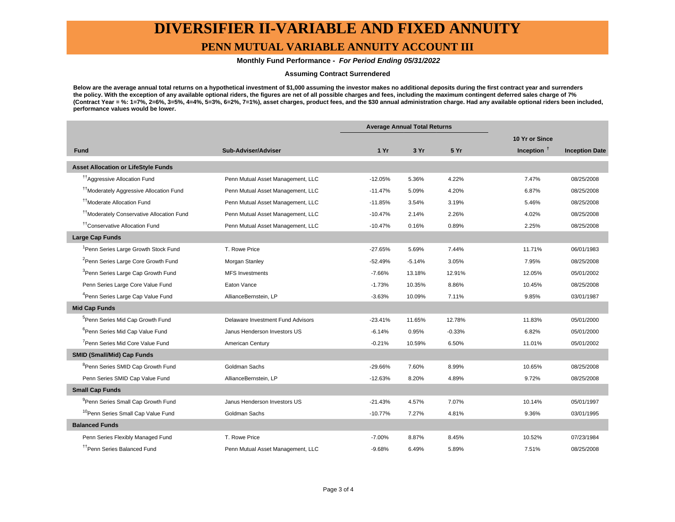### **DIVERSIFIER II-VARIABLE AND FIXED ANNUITY**

### **PENN MUTUAL VARIABLE ANNUITY ACCOUNT III**

#### **Monthly Fund Performance - For Period Ending 05/31/2022**

#### **Assuming Contract Surrendered**

**Below are the average annual total returns on a hypothetical investment of \$1,000 assuming the investor makes no additional deposits during the first contract year and surrenders the policy. With the exception of any available optional riders, the figures are net of all possible charges and fees, including the maximum contingent deferred sales charge of 7% (Contract Year = %: 1=7%, 2=6%, 3=5%, 4=4%, 5=3%, 6=2%, 7=1%), asset charges, product fees, and the \$30 annual administration charge. Had any available optional riders been included, performance values would be lower.**

|                                                       |                                   | <b>Average Annual Total Returns</b> |          |          |                        |                       |
|-------------------------------------------------------|-----------------------------------|-------------------------------------|----------|----------|------------------------|-----------------------|
|                                                       |                                   |                                     |          |          | 10 Yr or Since         |                       |
| <b>Fund</b>                                           | Sub-Adviser/Adviser               | 1 Yr                                | 3 Yr     | 5 Yr     | Inception <sup>t</sup> | <b>Inception Date</b> |
| <b>Asset Allocation or LifeStyle Funds</b>            |                                   |                                     |          |          |                        |                       |
| <sup>17</sup> Aggressive Allocation Fund              | Penn Mutual Asset Management, LLC | $-12.05%$                           | 5.36%    | 4.22%    | 7.47%                  | 08/25/2008            |
| <sup>11</sup> Moderately Aggressive Allocation Fund   | Penn Mutual Asset Management, LLC | $-11.47%$                           | 5.09%    | 4.20%    | 6.87%                  | 08/25/2008            |
| <sup>††</sup> Moderate Allocation Fund                | Penn Mutual Asset Management, LLC | $-11.85%$                           | 3.54%    | 3.19%    | 5.46%                  | 08/25/2008            |
| <sup>††</sup> Moderately Conservative Allocation Fund | Penn Mutual Asset Management, LLC | $-10.47%$                           | 2.14%    | 2.26%    | 4.02%                  | 08/25/2008            |
| <sup>††</sup> Conservative Allocation Fund            | Penn Mutual Asset Management, LLC | $-10.47%$                           | 0.16%    | 0.89%    | 2.25%                  | 08/25/2008            |
| <b>Large Cap Funds</b>                                |                                   |                                     |          |          |                        |                       |
| <sup>1</sup> Penn Series Large Growth Stock Fund      | T. Rowe Price                     | $-27.65%$                           | 5.69%    | 7.44%    | 11.71%                 | 06/01/1983            |
| <sup>2</sup> Penn Series Large Core Growth Fund       | Morgan Stanley                    | $-52.49%$                           | $-5.14%$ | 3.05%    | 7.95%                  | 08/25/2008            |
| <sup>3</sup> Penn Series Large Cap Growth Fund        | <b>MFS Investments</b>            | $-7.66%$                            | 13.18%   | 12.91%   | 12.05%                 | 05/01/2002            |
| Penn Series Large Core Value Fund                     | Eaton Vance                       | $-1.73%$                            | 10.35%   | 8.86%    | 10.45%                 | 08/25/2008            |
| <sup>4</sup> Penn Series Large Cap Value Fund         | AllianceBernstein, LP             | $-3.63%$                            | 10.09%   | 7.11%    | 9.85%                  | 03/01/1987            |
| <b>Mid Cap Funds</b>                                  |                                   |                                     |          |          |                        |                       |
| <sup>5</sup> Penn Series Mid Cap Growth Fund          | Delaware Investment Fund Advisors | $-23.41%$                           | 11.65%   | 12.78%   | 11.83%                 | 05/01/2000            |
| <sup>6</sup> Penn Series Mid Cap Value Fund           | Janus Henderson Investors US      | $-6.14%$                            | 0.95%    | $-0.33%$ | 6.82%                  | 05/01/2000            |
| <sup>7</sup> Penn Series Mid Core Value Fund          | American Century                  | $-0.21%$                            | 10.59%   | 6.50%    | 11.01%                 | 05/01/2002            |
| <b>SMID (Small/Mid) Cap Funds</b>                     |                                   |                                     |          |          |                        |                       |
| <sup>8</sup> Penn Series SMID Cap Growth Fund         | Goldman Sachs                     | $-29.66%$                           | 7.60%    | 8.99%    | 10.65%                 | 08/25/2008            |
| Penn Series SMID Cap Value Fund                       | AllianceBernstein, LP             | $-12.63%$                           | 8.20%    | 4.89%    | 9.72%                  | 08/25/2008            |
| <b>Small Cap Funds</b>                                |                                   |                                     |          |          |                        |                       |
| <sup>9</sup> Penn Series Small Cap Growth Fund        | Janus Henderson Investors US      | $-21.43%$                           | 4.57%    | 7.07%    | 10.14%                 | 05/01/1997            |
| <sup>10</sup> Penn Series Small Cap Value Fund        | Goldman Sachs                     | $-10.77%$                           | 7.27%    | 4.81%    | 9.36%                  | 03/01/1995            |
| <b>Balanced Funds</b>                                 |                                   |                                     |          |          |                        |                       |
| Penn Series Flexibly Managed Fund                     | T. Rowe Price                     | $-7.00%$                            | 8.87%    | 8.45%    | 10.52%                 | 07/23/1984            |
| <sup>11</sup> Penn Series Balanced Fund               | Penn Mutual Asset Management, LLC | $-9.68%$                            | 6.49%    | 5.89%    | 7.51%                  | 08/25/2008            |